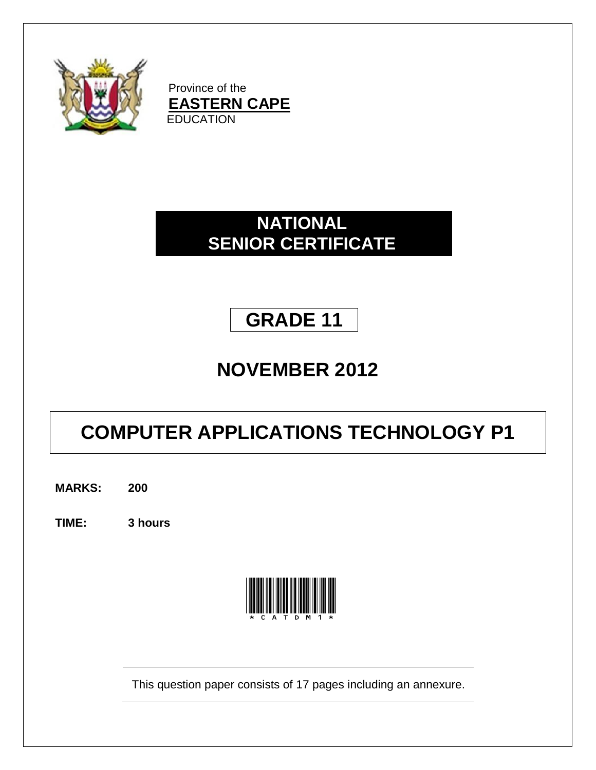

Province of the **EASTERN CAPE EDUCATION** 

### **NATIONAL SENIOR CERTIFICATE**

# **GRADE 11**

### **NOVEMBER 2012**

# **COMPUTER APPLICATIONS TECHNOLOGY P1**

**MARKS: 200**

**TIME: 3 hours**



This question paper consists of 17 pages including an annexure.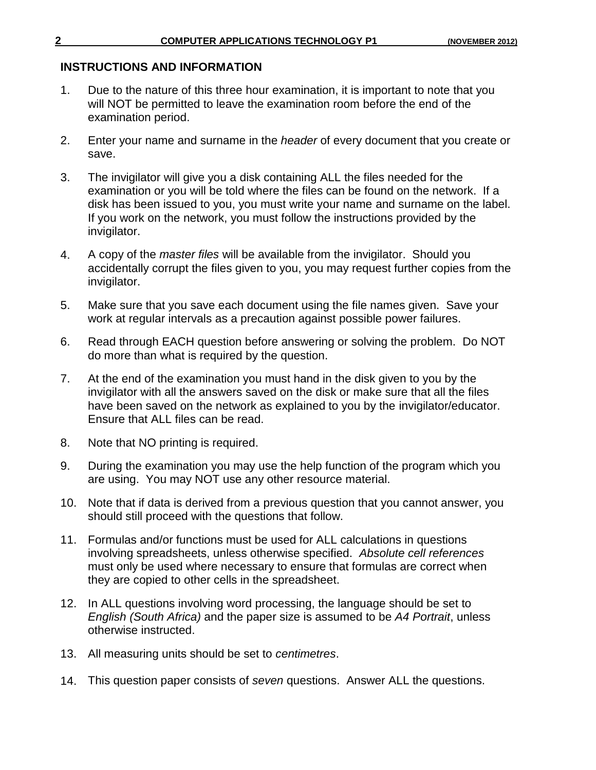#### **INSTRUCTIONS AND INFORMATION**

- 1. Due to the nature of this three hour examination, it is important to note that you will NOT be permitted to leave the examination room before the end of the examination period.
- 2. Enter your name and surname in the *header* of every document that you create or save.
- 3. The invigilator will give you a disk containing ALL the files needed for the examination or you will be told where the files can be found on the network. If a disk has been issued to you, you must write your name and surname on the label. If you work on the network, you must follow the instructions provided by the invigilator.
- 4. A copy of the *master files* will be available from the invigilator. Should you accidentally corrupt the files given to you, you may request further copies from the invigilator.
- 5. Make sure that you save each document using the file names given. Save your work at regular intervals as a precaution against possible power failures.
- 6. Read through EACH question before answering or solving the problem. Do NOT do more than what is required by the question.
- 7. At the end of the examination you must hand in the disk given to you by the invigilator with all the answers saved on the disk or make sure that all the files have been saved on the network as explained to you by the invigilator/educator. Ensure that ALL files can be read.
- 8. Note that NO printing is required.
- 9. During the examination you may use the help function of the program which you are using. You may NOT use any other resource material.
- 10. Note that if data is derived from a previous question that you cannot answer, you should still proceed with the questions that follow.
- 11. Formulas and/or functions must be used for ALL calculations in questions involving spreadsheets, unless otherwise specified. *Absolute cell references* must only be used where necessary to ensure that formulas are correct when they are copied to other cells in the spreadsheet.
- 12. In ALL questions involving word processing, the language should be set to *English (South Africa)* and the paper size is assumed to be *A4 Portrait*, unless otherwise instructed.
- 13. All measuring units should be set to *centimetres*.
- 14. This question paper consists of *seven* questions. Answer ALL the questions.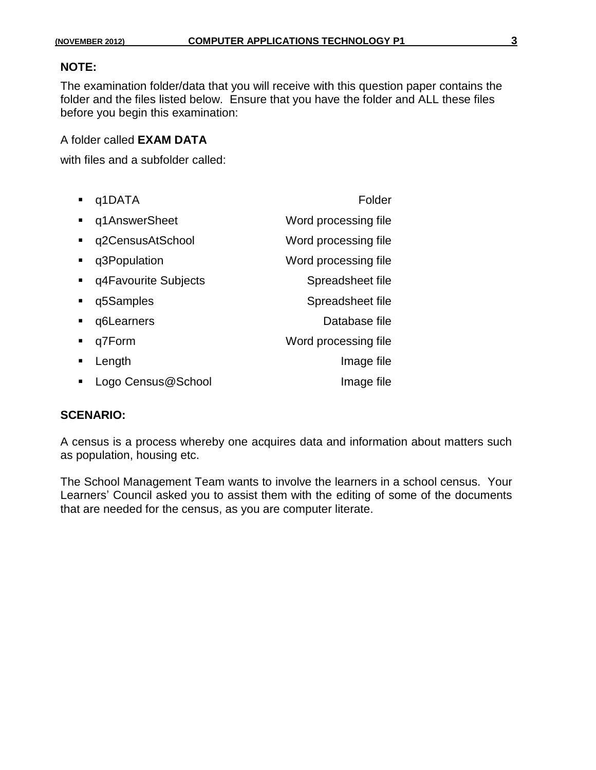#### **NOTE:**

The examination folder/data that you will receive with this question paper contains the folder and the files listed below. Ensure that you have the folder and ALL these files before you begin this examination:

A folder called **EXAM DATA**

with files and a subfolder called:

| q1DATA                 | Folder               |
|------------------------|----------------------|
| q1AnswerSheet          | Word processing file |
| q2CensusAtSchool       | Word processing file |
| q3Population           | Word processing file |
| • q4Favourite Subjects | Spreadsheet file     |
| q5Samples              | Spreadsheet file     |
| q6Learners             | Database file        |
| q7Form                 | Word processing file |
| Length                 | Image file           |
| Logo Census@School     | Image file           |

#### **SCENARIO:**

A census is a process whereby one acquires data and information about matters such as population, housing etc.

The School Management Team wants to involve the learners in a school census. Your Learners' Council asked you to assist them with the editing of some of the documents that are needed for the census, as you are computer literate.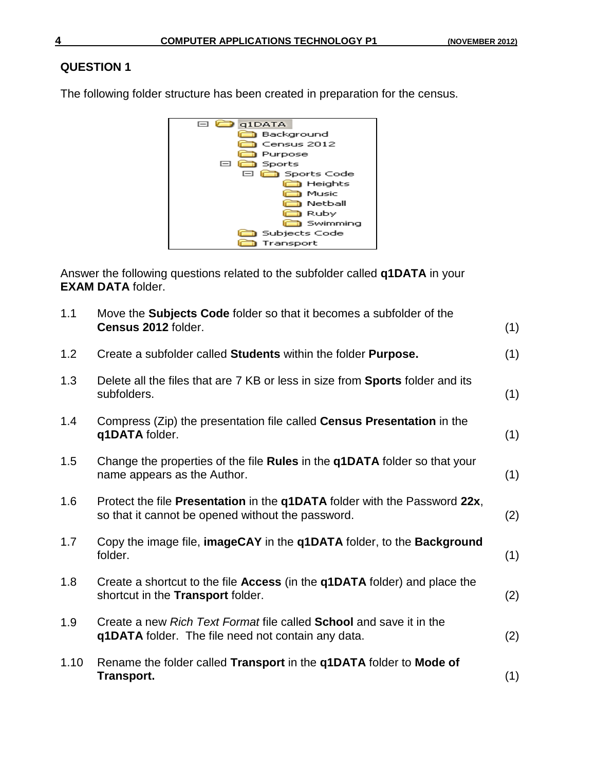The following folder structure has been created in preparation for the census.



Answer the following questions related to the subfolder called **q1DATA** in your **EXAM DATA** folder.

| 1.1  | Move the <b>Subjects Code</b> folder so that it becomes a subfolder of the<br>Census 2012 folder.                                       | (1) |
|------|-----------------------------------------------------------------------------------------------------------------------------------------|-----|
| 1.2  | Create a subfolder called Students within the folder Purpose.                                                                           | (1) |
| 1.3  | Delete all the files that are 7 KB or less in size from <b>Sports</b> folder and its<br>subfolders.                                     | (1) |
| 1.4  | Compress (Zip) the presentation file called <b>Census Presentation</b> in the<br>q1DATA folder.                                         | (1) |
| 1.5  | Change the properties of the file Rules in the q1DATA folder so that your<br>name appears as the Author.                                | (1) |
| 1.6  | Protect the file Presentation in the q1DATA folder with the Password 22x,<br>so that it cannot be opened without the password.          | (2) |
| 1.7  | Copy the image file, imageCAY in the q1DATA folder, to the Background<br>folder.                                                        | (1) |
| 1.8  | Create a shortcut to the file <b>Access</b> (in the <b>q1DATA</b> folder) and place the<br>shortcut in the <b>Transport</b> folder.     | (2) |
| 1.9  | Create a new Rich Text Format file called <b>School</b> and save it in the<br><b>q1DATA</b> folder. The file need not contain any data. | (2) |
| 1.10 | Rename the folder called Transport in the q1DATA folder to Mode of<br><b>Transport.</b>                                                 | (1) |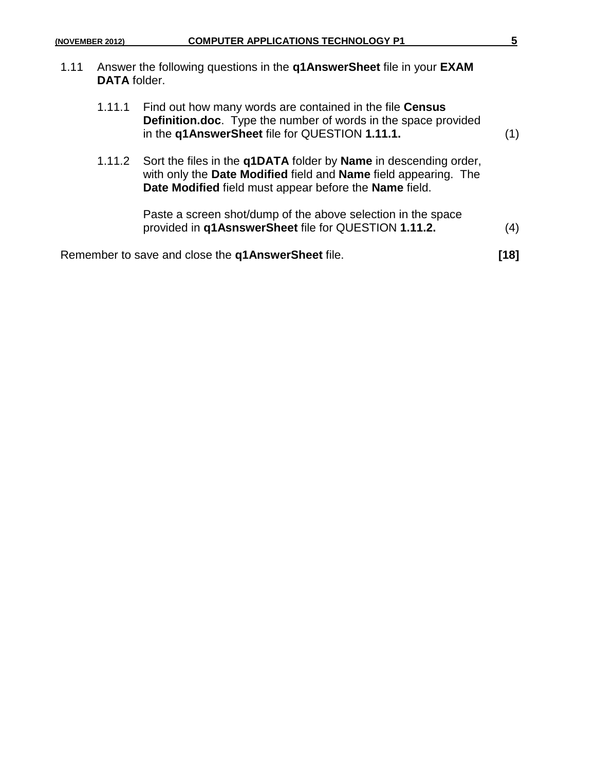| (NOVEMBER 2012) |                     | <b>COMPUTER APPLICATIONS TECHNOLOGY P1</b>                                                                                                                                                                         |      |  |
|-----------------|---------------------|--------------------------------------------------------------------------------------------------------------------------------------------------------------------------------------------------------------------|------|--|
| 1.11            | <b>DATA</b> folder. | Answer the following questions in the q1AnswerSheet file in your EXAM                                                                                                                                              |      |  |
|                 | 1.11.1              | Find out how many words are contained in the file Census<br><b>Definition.doc.</b> Type the number of words in the space provided<br>in the q1AnswerSheet file for QUESTION 1.11.1.                                | (1)  |  |
|                 |                     | 1.11.2 Sort the files in the <b>q1DATA</b> folder by <b>Name</b> in descending order,<br>with only the Date Modified field and Name field appearing. The<br>Date Modified field must appear before the Name field. |      |  |
|                 |                     | Paste a screen shot/dump of the above selection in the space<br>provided in q1AsnswerSheet file for QUESTION 1.11.2.                                                                                               | (4)  |  |
|                 |                     | Remember to save and close the <b>q1AnswerSheet</b> file.                                                                                                                                                          | [18] |  |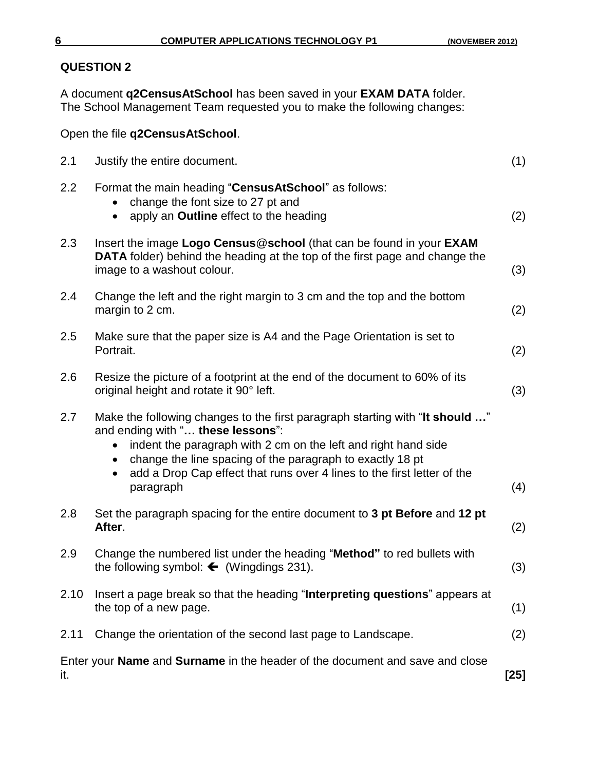A document **q2CensusAtSchool** has been saved in your **EXAM DATA** folder. The School Management Team requested you to make the following changes:

Open the file **q2CensusAtSchool**.

| 2.1  | Justify the entire document.                                                                                                                                                                                                                                                                                                             | (1)    |
|------|------------------------------------------------------------------------------------------------------------------------------------------------------------------------------------------------------------------------------------------------------------------------------------------------------------------------------------------|--------|
| 2.2  | Format the main heading "CensusAtSchool" as follows:<br>change the font size to 27 pt and<br>apply an Outline effect to the heading                                                                                                                                                                                                      | (2)    |
| 2.3  | Insert the image Logo Census@school (that can be found in your EXAM<br><b>DATA</b> folder) behind the heading at the top of the first page and change the<br>image to a washout colour.                                                                                                                                                  | (3)    |
| 2.4  | Change the left and the right margin to 3 cm and the top and the bottom<br>margin to 2 cm.                                                                                                                                                                                                                                               | (2)    |
| 2.5  | Make sure that the paper size is A4 and the Page Orientation is set to<br>Portrait.                                                                                                                                                                                                                                                      | (2)    |
| 2.6  | Resize the picture of a footprint at the end of the document to 60% of its<br>original height and rotate it 90° left.                                                                                                                                                                                                                    | (3)    |
| 2.7  | Make the following changes to the first paragraph starting with "It should "<br>and ending with " these lessons":<br>indent the paragraph with 2 cm on the left and right hand side<br>change the line spacing of the paragraph to exactly 18 pt<br>add a Drop Cap effect that runs over 4 lines to the first letter of the<br>paragraph | (4)    |
| 2.8  | Set the paragraph spacing for the entire document to 3 pt Before and 12 pt<br>After.                                                                                                                                                                                                                                                     | (2)    |
| 2.9  | Change the numbered list under the heading "Method" to red bullets with<br>the following symbol: $\leftarrow$ (Wingdings 231).                                                                                                                                                                                                           | (3)    |
| 2.10 | Insert a page break so that the heading "Interpreting questions" appears at<br>the top of a new page.                                                                                                                                                                                                                                    | (1)    |
| 2.11 | Change the orientation of the second last page to Landscape.                                                                                                                                                                                                                                                                             | (2)    |
| it.  | Enter your Name and Surname in the header of the document and save and close                                                                                                                                                                                                                                                             | $[25]$ |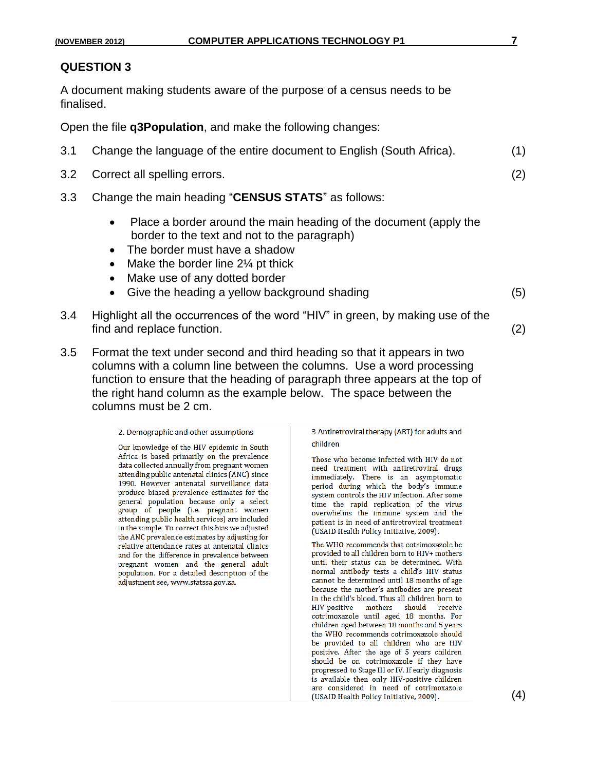A document making students aware of the purpose of a census needs to be finalised.

Open the file **q3Population**, and make the following changes:

| 3.1 | Change the language of the entire document to English (South Africa). |  | (1) |
|-----|-----------------------------------------------------------------------|--|-----|
|-----|-----------------------------------------------------------------------|--|-----|

- 3.2 Correct all spelling errors. (2)
- 3.3 Change the main heading "**CENSUS STATS**" as follows:
	- Place a border around the main heading of the document (apply the border to the text and not to the paragraph)
	- The border must have a shadow
	- Make the border line  $2\frac{1}{4}$  pt thick
	- Make use of any dotted border
	- Give the heading a yellow background shading (5)

- 3.4 Highlight all the occurrences of the word "HIV" in green, by making use of the find and replace function. (2)
- 3.5 Format the text under second and third heading so that it appears in two columns with a column line between the columns. Use a word processing function to ensure that the heading of paragraph three appears at the top of the right hand column as the example below. The space between the columns must be 2 cm.

2. Demographic and other assumptions

Our knowledge of the HIV epidemic in South Africa is based primarily on the prevalence data collected annually from pregnant women attending public antenatal clinics (ANC) since 1990. However antenatal surveillance data produce biased prevalence estimates for the general population because only a select group of people (i.e. pregnant women attending public health services) are included in the sample. To correct this bias we adjusted the ANC prevalence estimates by adjusting for relative attendance rates at antenatal clinics and for the difference in prevalence between pregnant women and the general adult population. For a detailed description of the adjustment see, www.statssa.gov.za.

3 Antiretroviral therapy (ART) for adults and children

Those who become infected with HIV do not need treatment with antiretroviral drugs immediately. There is an asymptomatic period during which the body's immune system controls the HIV infection. After some time the rapid replication of the virus overwhelms the immune system and the patient is in need of antiretroviral treatment (USAID Health Policy Initiative, 2009).

The WHO recommends that cotrimoxazole be provided to all children born to HIV+ mothers until their status can be determined. With normal antibody tests a child's HIV status cannot be determined until 18 months of age because the mother's antibodies are present in the child's blood. Thus all children born to HIV-positive mothers should receive cotrimoxazole until aged 18 months. For children aged between 18 months and 5 years the WHO recommends cotrimoxazole should be provided to all children who are HIV positive. After the age of 5 years children should be on cotrimoxazole if they have progressed to Stage III or IV. If early diagnosis is available then only HIV-positive children are considered in need of cotrimoxazole (USAID Health Policy Initiative, 2009).

(4)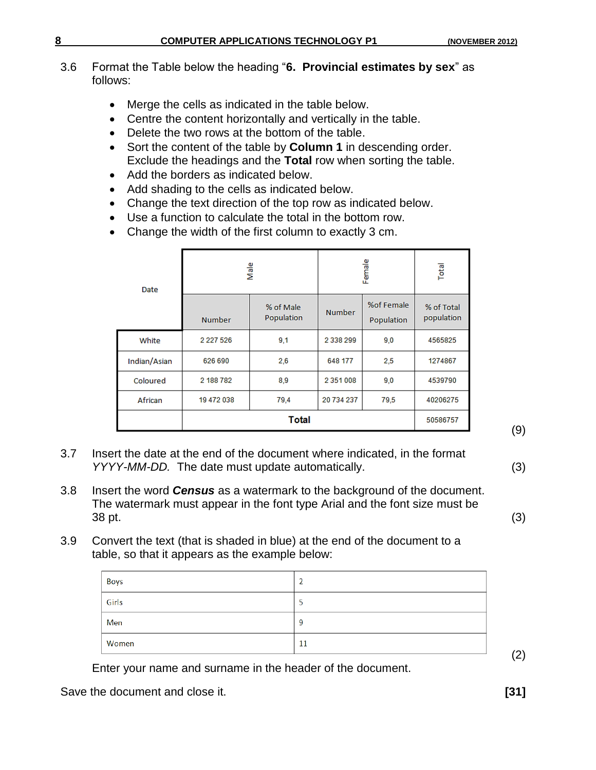#### 3.6 Format the Table below the heading "**6. Provincial estimates by sex**" as follows:

- Merge the cells as indicated in the table below.
- Centre the content horizontally and vertically in the table.
- Delete the two rows at the bottom of the table.
- Sort the content of the table by **Column 1** in descending order. Exclude the headings and the **Total** row when sorting the table.
- Add the borders as indicated below.
- Add shading to the cells as indicated below.
- Change the text direction of the top row as indicated below.
- Use a function to calculate the total in the bottom row.
- Change the width of the first column to exactly 3 cm.

| Date         |               | Male                    | Female        | Total                    |                          |
|--------------|---------------|-------------------------|---------------|--------------------------|--------------------------|
|              | <b>Number</b> | % of Male<br>Population | <b>Number</b> | %of Female<br>Population | % of Total<br>population |
| White        | 2 2 2 7 5 2 6 | 9,1                     | 2 3 3 8 2 9 9 | 9,0                      | 4565825                  |
| Indian/Asian | 626 690       | 2,6                     | 648 177       | 2,5                      | 1274867                  |
| Coloured     | 2 188 782     | 8,9                     | 2 3 5 1 0 0 8 | 9,0                      | 4539790                  |
| African      | 19 472 038    | 79,4                    | 20 734 237    | 79,5                     | 40206275                 |
|              |               | 50586757                |               |                          |                          |

(9)

- 3.7 Insert the date at the end of the document where indicated, in the format *YYYY-MM-DD.* The date must update automatically. (3)
- 3.8 Insert the word *Census* as a watermark to the background of the document. The watermark must appear in the font type Arial and the font size must be  $38 \text{ pt.}$  (3)
- 3.9 Convert the text (that is shaded in blue) at the end of the document to a table, so that it appears as the example below:

| Boys  |    |
|-------|----|
| Girls | ر  |
| Men   | 9  |
| Women | 11 |

Enter your name and surname in the header of the document.

Save the document and close it. *[31]* **[31]** 

(2)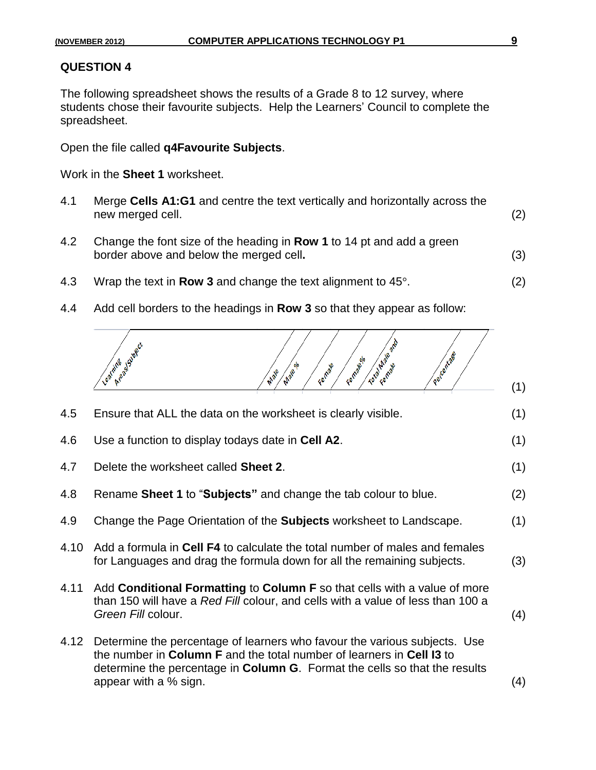The following spreadsheet shows the results of a Grade 8 to 12 survey, where students chose their favourite subjects. Help the Learners' Council to complete the spreadsheet.

Open the file called **q4Favourite Subjects**.

Work in the **Sheet 1** worksheet.

- 4.1 Merge **Cells A1:G1** and centre the text vertically and horizontally across the new merged cell. (2)
- 4.2 Change the font size of the heading in **Row 1** to 14 pt and add a green border above and below the merged cell**.** (3)
- 4.3 Wrap the text in **Row 3** and change the text alignment to 45°. (2)
- 4.4 Add cell borders to the headings in **Row 3** so that they appear as follow:



| 4.5  | Ensure that ALL the data on the worksheet is clearly visible.                                                                                                                                                                                                     | (1) |
|------|-------------------------------------------------------------------------------------------------------------------------------------------------------------------------------------------------------------------------------------------------------------------|-----|
| 4.6  | Use a function to display todays date in Cell A2.                                                                                                                                                                                                                 | (1) |
| 4.7  | Delete the worksheet called <b>Sheet 2.</b>                                                                                                                                                                                                                       | (1) |
| 4.8  | Rename Sheet 1 to "Subjects" and change the tab colour to blue.                                                                                                                                                                                                   | (2) |
| 4.9  | Change the Page Orientation of the <b>Subjects</b> worksheet to Landscape.                                                                                                                                                                                        | (1) |
| 4.10 | Add a formula in Cell F4 to calculate the total number of males and females<br>for Languages and drag the formula down for all the remaining subjects.                                                                                                            | (3) |
| 4.11 | Add <b>Conditional Formatting to Column F</b> so that cells with a value of more<br>than 150 will have a Red Fill colour, and cells with a value of less than 100 a<br>Green Fill colour.                                                                         | (4) |
| 4.12 | Determine the percentage of learners who favour the various subjects. Use<br>the number in Column F and the total number of learners in Cell 13 to<br>determine the percentage in <b>Column G</b> . Format the cells so that the results<br>appear with a % sign. | (4) |
|      |                                                                                                                                                                                                                                                                   |     |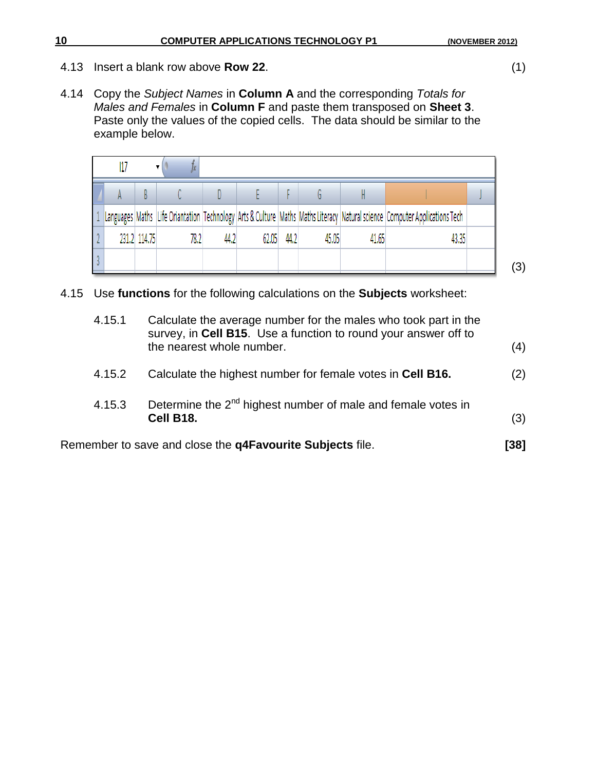- 4.13 Insert a blank row above **Row 22**. (1)
- 4.14 Copy the *Subject Names* in **Column A** and the corresponding *Totals for Males and Females* in **Column F** and paste them transposed on **Sheet 3**. Paste only the values of the copied cells. The data should be similar to the example below.

|  |              |      |      |       |      |       |       | Languages   Maths   Life Oriantation   Technology   Arts & Culture   Maths   Maths Literacy   Natural science   Computer Applications Tech |  |
|--|--------------|------|------|-------|------|-------|-------|--------------------------------------------------------------------------------------------------------------------------------------------|--|
|  | 231.2 114.75 | 78.2 | 44.2 | 62.05 | 44.2 | 45.05 | 41.65 | 43,35                                                                                                                                      |  |
|  |              |      |      |       |      |       |       |                                                                                                                                            |  |

4.15 Use **functions** for the following calculations on the **Subjects** worksheet:

| 4.15.1 | Calculate the average number for the males who took part in the<br>survey, in Cell B15. Use a function to round your answer off to<br>the nearest whole number. | (4)  |
|--------|-----------------------------------------------------------------------------------------------------------------------------------------------------------------|------|
| 4.15.2 | Calculate the highest number for female votes in Cell B16.                                                                                                      | (2)  |
| 4.15.3 | Determine the $2^{nd}$ highest number of male and female votes in<br>Cell B18.                                                                                  | (3)  |
|        | Remember to save and close the <b>q4Favourite Subjects</b> file.                                                                                                | [38] |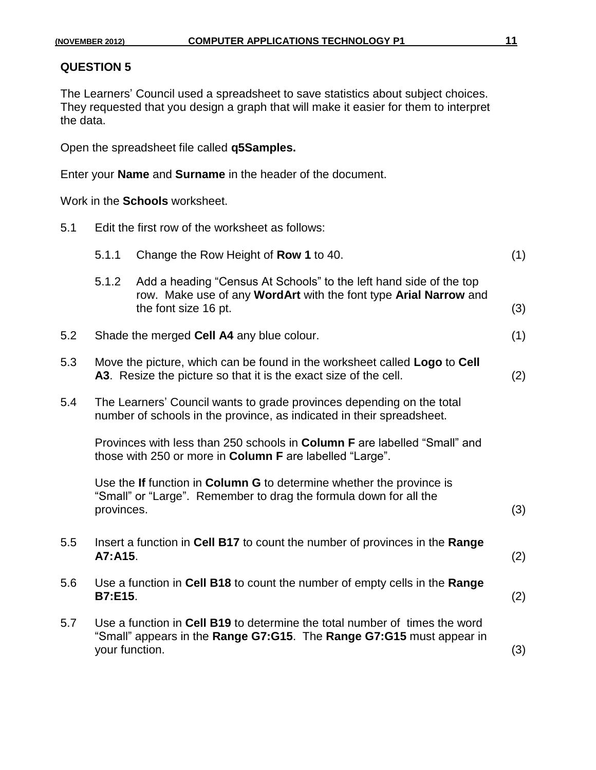The Learners' Council used a spreadsheet to save statistics about subject choices. They requested that you design a graph that will make it easier for them to interpret the data.

Open the spreadsheet file called **q5Samples.**

Enter your **Name** and **Surname** in the header of the document.

Work in the **Schools** worksheet.

| 5.1 | Edit the first row of the worksheet as follows:                                                                                                         |                                                                                                                                                                |     |  |  |  |
|-----|---------------------------------------------------------------------------------------------------------------------------------------------------------|----------------------------------------------------------------------------------------------------------------------------------------------------------------|-----|--|--|--|
|     | 5.1.1                                                                                                                                                   | Change the Row Height of Row 1 to 40.                                                                                                                          | (1) |  |  |  |
|     | 5.1.2                                                                                                                                                   | Add a heading "Census At Schools" to the left hand side of the top<br>row. Make use of any WordArt with the font type Arial Narrow and<br>the font size 16 pt. | (3) |  |  |  |
| 5.2 |                                                                                                                                                         | Shade the merged Cell A4 any blue colour.                                                                                                                      | (1) |  |  |  |
| 5.3 |                                                                                                                                                         | Move the picture, which can be found in the worksheet called Logo to Cell<br>A3. Resize the picture so that it is the exact size of the cell.                  | (2) |  |  |  |
| 5.4 |                                                                                                                                                         | The Learners' Council wants to grade provinces depending on the total<br>number of schools in the province, as indicated in their spreadsheet.                 |     |  |  |  |
|     | Provinces with less than 250 schools in Column F are labelled "Small" and<br>those with 250 or more in Column F are labelled "Large".                   |                                                                                                                                                                |     |  |  |  |
|     | Use the If function in Column G to determine whether the province is<br>"Small" or "Large". Remember to drag the formula down for all the<br>provinces. |                                                                                                                                                                |     |  |  |  |
| 5.5 | A7:A15.                                                                                                                                                 | Insert a function in Cell B17 to count the number of provinces in the Range                                                                                    | (2) |  |  |  |
| 5.6 | <b>B7:E15.</b>                                                                                                                                          | Use a function in Cell B18 to count the number of empty cells in the Range                                                                                     | (2) |  |  |  |
| 5.7 | your function.                                                                                                                                          | Use a function in Cell B19 to determine the total number of times the word<br>"Small" appears in the Range G7:G15. The Range G7:G15 must appear in             | (3) |  |  |  |
|     |                                                                                                                                                         |                                                                                                                                                                |     |  |  |  |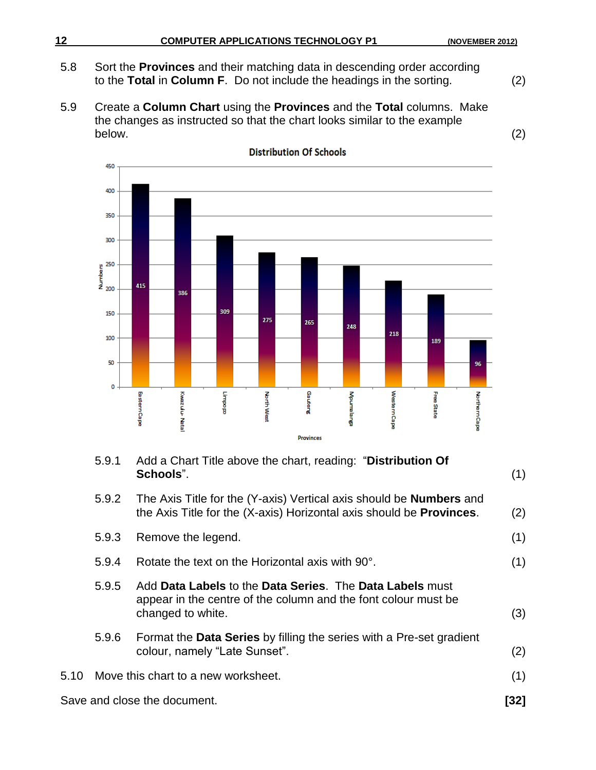- 5.8 Sort the **Provinces** and their matching data in descending order according to the **Total** in **Column F**. Do not include the headings in the sorting. (2)
- 5.9 Create a **Column Chart** using the **Provinces** and the **Total** columns. Make the changes as instructed so that the chart looks similar to the example below. (2)



| 5.9.1 | Add a Chart Title above the chart, reading: "Distribution Of<br>Schools".                                                                                  | (1) |
|-------|------------------------------------------------------------------------------------------------------------------------------------------------------------|-----|
| 5.9.2 | The Axis Title for the (Y-axis) Vertical axis should be <b>Numbers</b> and<br>the Axis Title for the (X-axis) Horizontal axis should be <b>Provinces</b> . | (2) |
| 5.9.3 | Remove the legend.                                                                                                                                         | (1) |
| 5.9.4 | Rotate the text on the Horizontal axis with 90°.                                                                                                           | (1) |
| 5.9.5 | Add Data Labels to the Data Series. The Data Labels must<br>appear in the centre of the column and the font colour must be<br>changed to white.            | (3) |
| 5.9.6 | Format the Data Series by filling the series with a Pre-set gradient<br>colour, namely "Late Sunset".                                                      | (2) |
|       | 5.10 Move this chart to a new worksheet.                                                                                                                   | (1) |
|       |                                                                                                                                                            |     |

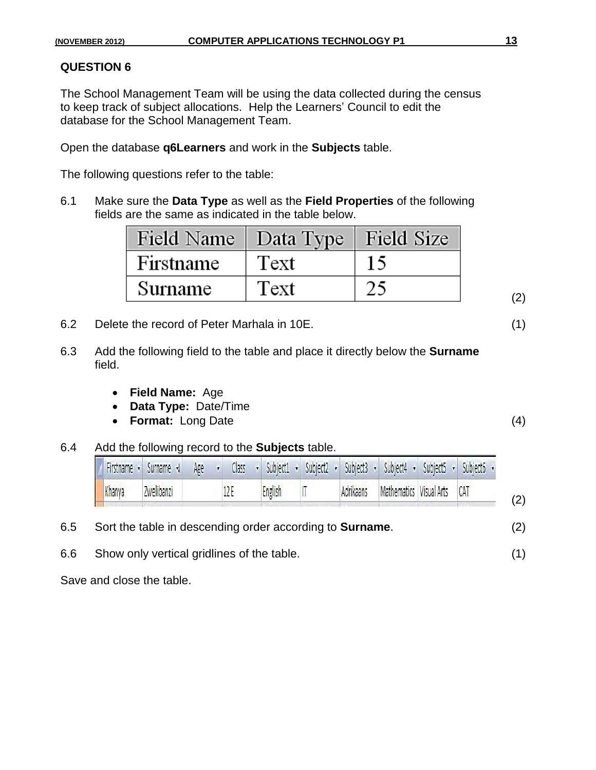The School Management Team will be using the data collected during the census to keep track of subject allocations. Help the Learners' Council to edit the database for the School Management Team.

Open the database **q6Learners** and work in the **Subjects** table.

The following questions refer to the table:

6.1 Make sure the **Data Type** as well as the **Field Properties** of the following fields are the same as indicated in the table below.

| Field Name   Data Type   Field Size |      |  |
|-------------------------------------|------|--|
| Firstname                           | Text |  |
| Surname                             | Text |  |

- 6.2 Delete the record of Peter Marhala in 10E. (1)
- 6.3 Add the following field to the table and place it directly below the **Surname** field.
	- **Field Name:** Age
	- **Data Type:** Date/Time
	- **Format:** Long Date (4)
- 6.4 Add the following record to the **Subjects** table.

|        | Firstname • Surname • Age • Class • Subject1 • Subject2 • Subject3 • Subject4 • Subject5 • Subject6 |      |         |  |           |                             |  |     |
|--------|-----------------------------------------------------------------------------------------------------|------|---------|--|-----------|-----------------------------|--|-----|
| Khanya | Zwelibanzi                                                                                          | 12 E | English |  | Adrikaans | Mathematics Visual Arts CAT |  | (2) |

- 6.5 Sort the table in descending order according to **Surname**. (2)
- 6.6 Show only vertical gridlines of the table. (1)

Save and close the table.

(2)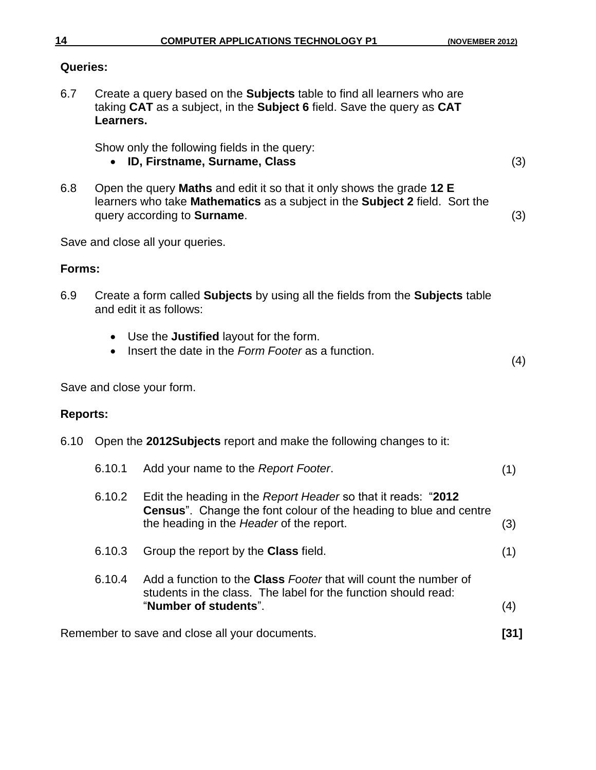#### **Queries:**

6.7 Create a query based on the **Subjects** table to find all learners who are taking **CAT** as a subject, in the **Subject 6** field. Save the query as **CAT Learners.**

Show only the following fields in the query:

#### **ID, Firstname, Surname, Class**

6.8 Open the query **Maths** and edit it so that it only shows the grade **12 E** learners who take **Mathematics** as a subject in the **Subject 2** field. Sort the query according to **Surname**. (3)

Save and close all your queries.

#### **Forms:**

- 6.9 Create a form called **Subjects** by using all the fields from the **Subjects** table and edit it as follows:
	- Use the **Justified** layout for the form.
	- Insert the date in the *Form Footer* as a function.

(4)

Save and close your form.

#### **Reports:**

6.10 Open the **2012Subjects** report and make the following changes to it:

| 6.10.1 | Add your name to the Report Footer.                                                                                                                                |     |
|--------|--------------------------------------------------------------------------------------------------------------------------------------------------------------------|-----|
| 6.10.2 | Edit the heading in the Report Header so that it reads: "2012<br><b>Census</b> ". Change the font colour of the heading to blue and centre                         |     |
|        | the heading in the Header of the report.                                                                                                                           | (3) |
| 6.10.3 | Group the report by the <b>Class</b> field.                                                                                                                        | (1) |
| 6.10.4 | Add a function to the <b>Class</b> Footer that will count the number of<br>students in the class. The label for the function should read:<br>"Number of students". | (4) |
|        |                                                                                                                                                                    |     |

Remember to save and close all your documents. **[31]**

(3)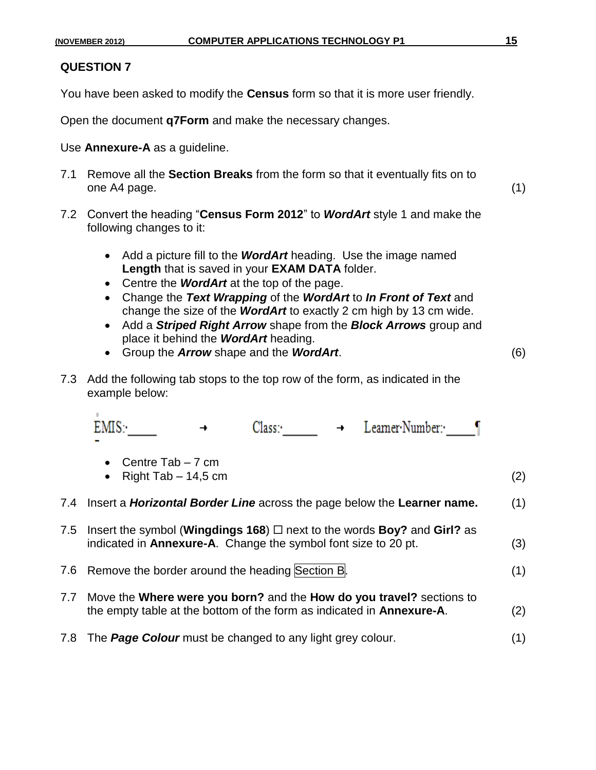$\mathbf{u}$ 

You have been asked to modify the **Census** form so that it is more user friendly.

Open the document **q7Form** and make the necessary changes.

Use **Annexure-A** as a guideline.

- 7.1 Remove all the **Section Breaks** from the form so that it eventually fits on to one A4 page. (1)
- 7.2 Convert the heading "**Census Form 2012**" to *WordArt* style 1 and make the following changes to it:
	- Add a picture fill to the *WordArt* heading. Use the image named **Length** that is saved in your **EXAM DATA** folder.
	- Centre the **WordArt** at the top of the page.
	- Change the *Text Wrapping* of the *WordArt* to *In Front of Text* and change the size of the *WordArt* to exactly 2 cm high by 13 cm wide.
	- Add a *Striped Right Arrow* shape from the *Block Arrows* group and place it behind the *WordArt* heading.
	- Group the *Arrow* shape and the *WordArt*. (6)
- 7.3 Add the following tab stops to the top row of the form, as indicated in the example below:

|     | Leamer Number:•<br>Class:                                                                                                                                 |     |
|-----|-----------------------------------------------------------------------------------------------------------------------------------------------------------|-----|
|     | Centre Tab – 7 cm<br>$\bullet$<br>Right Tab $-14,5$ cm                                                                                                    | (2) |
|     | 7.4 Insert a <i>Horizontal Border Line</i> across the page below the Learner name.                                                                        | (1) |
| 7.5 | Insert the symbol (Wingdings 168) $\Box$ next to the words Boy? and Girl? as<br>indicated in <b>Annexure-A</b> . Change the symbol font size to 20 pt.    | (3) |
|     | 7.6 Remove the border around the heading Section B.                                                                                                       | (1) |
|     | 7.7 Move the Where were you born? and the How do you travel? sections to<br>the empty table at the bottom of the form as indicated in <b>Annexure-A</b> . | (2) |
|     | 7.8 The Page Colour must be changed to any light grey colour.                                                                                             | (1) |
|     |                                                                                                                                                           |     |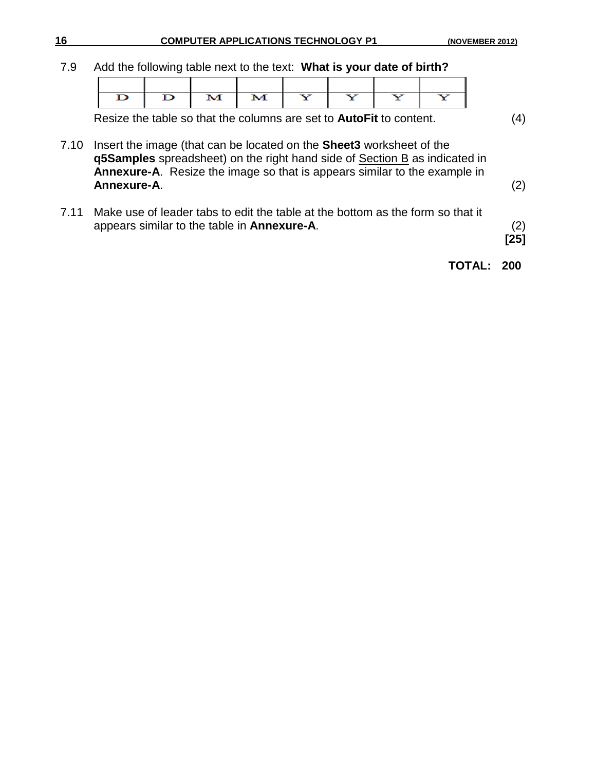7.9 Add the following table next to the text: **What is your date of birth?**

| $\mathbf{D}$ | м | $\mathbf{Y}$ |  |  |
|--------------|---|--------------|--|--|

Resize the table so that the columns are set to **AutoFit** to content. (4)

- 7.10 Insert the image (that can be located on the **Sheet3** worksheet of the **q5Samples** spreadsheet) on the right hand side of Section B as indicated in **Annexure-A**. Resize the image so that is appears similar to the example in **Annexure-A**. (2)
- 7.11 Make use of leader tabs to edit the table at the bottom as the form so that it appears similar to the table in **Annexure-A**. (2)

**[25]**

#### **TOTAL: 200**